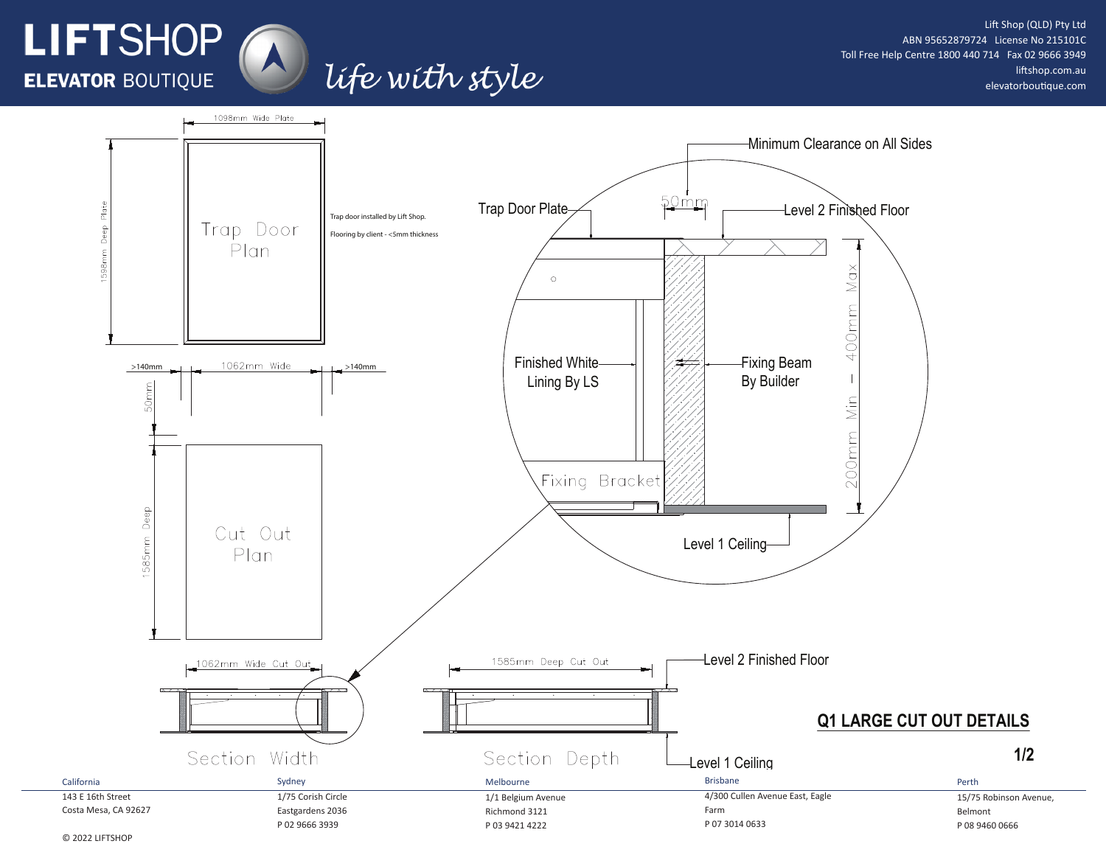## Lift Shop (QLD) Pty Ltd ABN 95652879724 License No 215101C Toll Free Help Centre 1800 440 714 Fax 02 9666 3949 liftshop.com.au elevatorboutique.com

**1/2**



life with style

© 2022 LIFTSHOP

LIFTSHOP

**ELEVATOR BOUTIQUE**